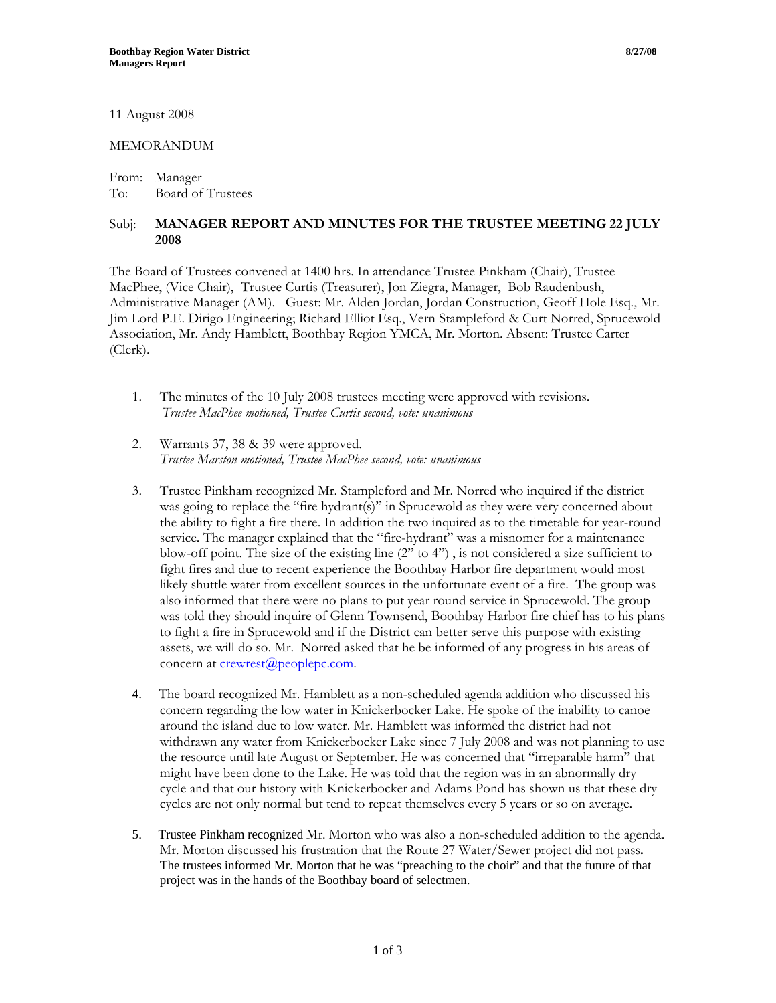11 August 2008

## MEMORANDUM

From: Manager To: Board of Trustees

## Subj: **MANAGER REPORT AND MINUTES FOR THE TRUSTEE MEETING 22 JULY 2008**

The Board of Trustees convened at 1400 hrs. In attendance Trustee Pinkham (Chair), Trustee MacPhee, (Vice Chair), Trustee Curtis (Treasurer), Jon Ziegra, Manager, Bob Raudenbush, Administrative Manager (AM). Guest: Mr. Alden Jordan, Jordan Construction, Geoff Hole Esq., Mr. Jim Lord P.E. Dirigo Engineering; Richard Elliot Esq., Vern Stampleford & Curt Norred, Sprucewold Association, Mr. Andy Hamblett, Boothbay Region YMCA, Mr. Morton. Absent: Trustee Carter (Clerk).

- 1. The minutes of the 10 July 2008 trustees meeting were approved with revisions. *Trustee MacPhee motioned, Trustee Curtis second, vote: unanimous*
- 2. Warrants 37, 38 & 39 were approved. *Trustee Marston motioned, Trustee MacPhee second, vote: unanimous*
- 3. Trustee Pinkham recognized Mr. Stampleford and Mr. Norred who inquired if the district was going to replace the "fire hydrant(s)" in Sprucewold as they were very concerned about the ability to fight a fire there. In addition the two inquired as to the timetable for year-round service. The manager explained that the "fire-hydrant" was a misnomer for a maintenance blow-off point. The size of the existing line (2" to 4") , is not considered a size sufficient to fight fires and due to recent experience the Boothbay Harbor fire department would most likely shuttle water from excellent sources in the unfortunate event of a fire. The group was also informed that there were no plans to put year round service in Sprucewold. The group was told they should inquire of Glenn Townsend, Boothbay Harbor fire chief has to his plans to fight a fire in Sprucewold and if the District can better serve this purpose with existing assets, we will do so. Mr. Norred asked that he be informed of any progress in his areas of concern at **crewrest**@peoplepc.com.
- 4. The board recognized Mr. Hamblett as a non-scheduled agenda addition who discussed his concern regarding the low water in Knickerbocker Lake. He spoke of the inability to canoe around the island due to low water. Mr. Hamblett was informed the district had not withdrawn any water from Knickerbocker Lake since 7 July 2008 and was not planning to use the resource until late August or September. He was concerned that "irreparable harm" that might have been done to the Lake. He was told that the region was in an abnormally dry cycle and that our history with Knickerbocker and Adams Pond has shown us that these dry cycles are not only normal but tend to repeat themselves every 5 years or so on average.
- 5. Trustee Pinkham recognized Mr. Morton who was also a non-scheduled addition to the agenda. Mr. Morton discussed his frustration that the Route 27 Water/Sewer project did not pass**.**  The trustees informed Mr. Morton that he was "preaching to the choir" and that the future of that project was in the hands of the Boothbay board of selectmen.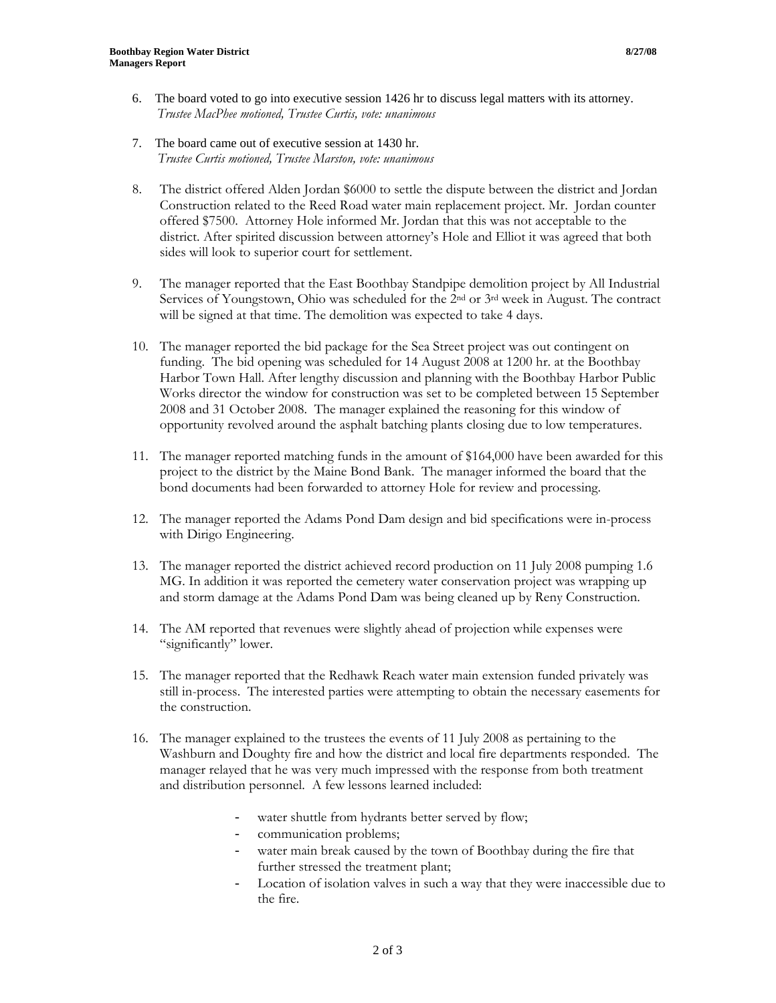- 6. The board voted to go into executive session 1426 hr to discuss legal matters with its attorney. *Trustee MacPhee motioned, Trustee Curtis, vote: unanimous*
- 7. The board came out of executive session at 1430 hr. *Trustee Curtis motioned, Trustee Marston, vote: unanimous*
- 8. The district offered Alden Jordan \$6000 to settle the dispute between the district and Jordan Construction related to the Reed Road water main replacement project. Mr. Jordan counter offered \$7500. Attorney Hole informed Mr. Jordan that this was not acceptable to the district. After spirited discussion between attorney's Hole and Elliot it was agreed that both sides will look to superior court for settlement.
- 9. The manager reported that the East Boothbay Standpipe demolition project by All Industrial Services of Youngstown, Ohio was scheduled for the  $2<sup>nd</sup>$  or  $3<sup>rd</sup>$  week in August. The contract will be signed at that time. The demolition was expected to take 4 days.
- 10. The manager reported the bid package for the Sea Street project was out contingent on funding. The bid opening was scheduled for 14 August 2008 at 1200 hr. at the Boothbay Harbor Town Hall. After lengthy discussion and planning with the Boothbay Harbor Public Works director the window for construction was set to be completed between 15 September 2008 and 31 October 2008. The manager explained the reasoning for this window of opportunity revolved around the asphalt batching plants closing due to low temperatures.
- 11. The manager reported matching funds in the amount of \$164,000 have been awarded for this project to the district by the Maine Bond Bank. The manager informed the board that the bond documents had been forwarded to attorney Hole for review and processing.
- 12. The manager reported the Adams Pond Dam design and bid specifications were in-process with Dirigo Engineering.
- 13. The manager reported the district achieved record production on 11 July 2008 pumping 1.6 MG. In addition it was reported the cemetery water conservation project was wrapping up and storm damage at the Adams Pond Dam was being cleaned up by Reny Construction.
- 14. The AM reported that revenues were slightly ahead of projection while expenses were "significantly" lower.
- 15. The manager reported that the Redhawk Reach water main extension funded privately was still in-process. The interested parties were attempting to obtain the necessary easements for the construction.
- 16. The manager explained to the trustees the events of 11 July 2008 as pertaining to the Washburn and Doughty fire and how the district and local fire departments responded. The manager relayed that he was very much impressed with the response from both treatment and distribution personnel. A few lessons learned included:
	- water shuttle from hydrants better served by flow;
	- communication problems;
	- water main break caused by the town of Boothbay during the fire that further stressed the treatment plant;
	- Location of isolation valves in such a way that they were inaccessible due to the fire.